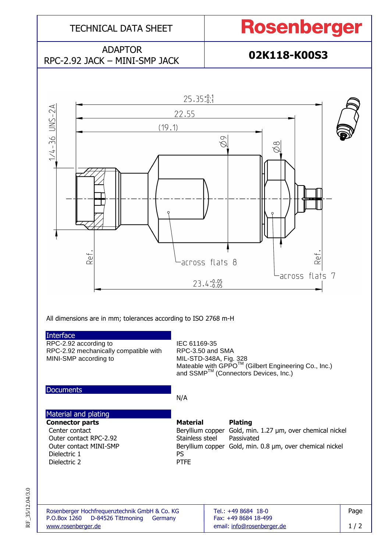

RF\_35/12.04/3.0 RF\_35/12.04/3.0